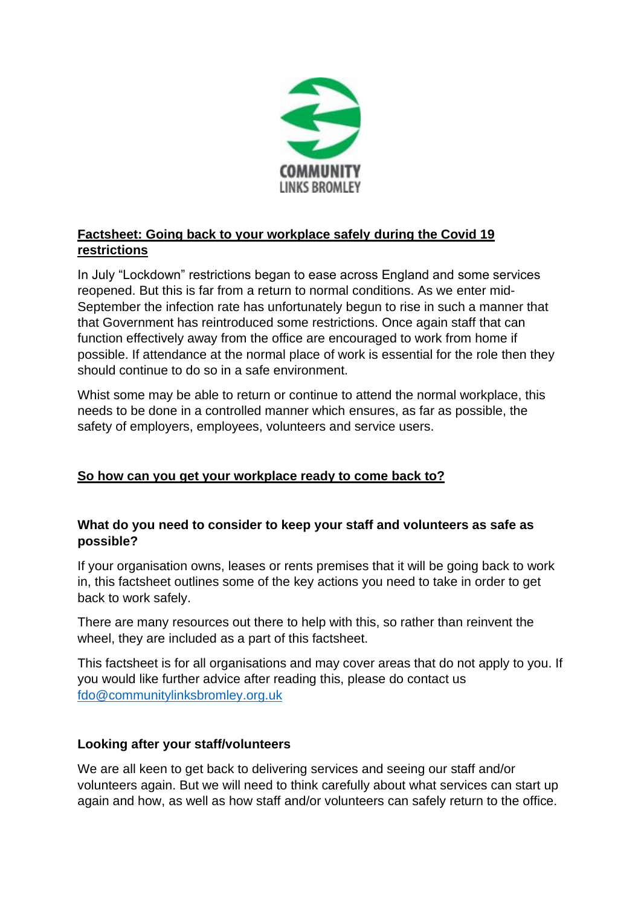

## **Factsheet: Going back to your workplace safely during the Covid 19 restrictions**

In July "Lockdown" restrictions began to ease across England and some services reopened. But this is far from a return to normal conditions. As we enter mid-September the infection rate has unfortunately begun to rise in such a manner that that Government has reintroduced some restrictions. Once again staff that can function effectively away from the office are encouraged to work from home if possible. If attendance at the normal place of work is essential for the role then they should continue to do so in a safe environment.

Whist some may be able to return or continue to attend the normal workplace, this needs to be done in a controlled manner which ensures, as far as possible, the safety of employers, employees, volunteers and service users.

## **So how can you get your workplace ready to come back to?**

### **What do you need to consider to keep your staff and volunteers as safe as possible?**

If your organisation owns, leases or rents premises that it will be going back to work in, this factsheet outlines some of the key actions you need to take in order to get back to work safely.

There are many resources out there to help with this, so rather than reinvent the wheel, they are included as a part of this factsheet.

This factsheet is for all organisations and may cover areas that do not apply to you. If you would like further advice after reading this, please do contact us [fdo@communitylinksbromley.org.uk](mailto:fdo@communitylinksbromley.org.uk)

## **Looking after your staff/volunteers**

We are all keen to get back to delivering services and seeing our staff and/or volunteers again. But we will need to think carefully about what services can start up again and how, as well as how staff and/or volunteers can safely return to the office.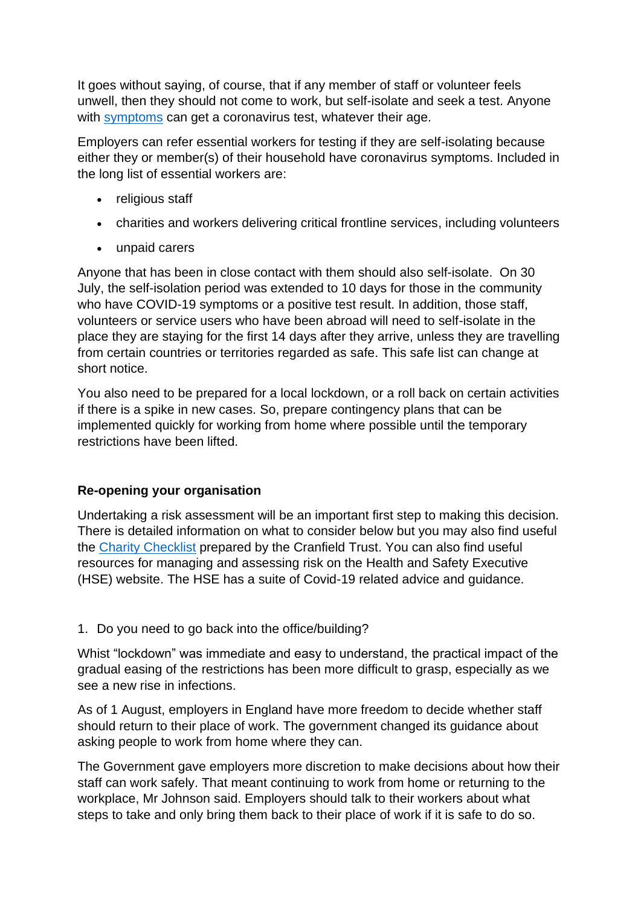It goes without saying, of course, that if any member of staff or volunteer feels unwell, then they should not come to work, but self-isolate and seek a test. Anyone with [symptoms](https://www.nhs.uk/conditions/coronavirus-covid-19/symptoms) can get a coronavirus test, whatever their age.

Employers can refer essential workers for testing if they are self-isolating because either they or member(s) of their household have coronavirus symptoms. Included in the long list of essential workers are:

- religious staff
- charities and workers delivering critical frontline services, including volunteers
- unpaid carers

Anyone that has been in close contact with them should also self-isolate. On 30 July, the self-isolation period was extended to 10 days for those in the community who have COVID-19 symptoms or a positive test result. In addition, those staff, volunteers or service users who have been abroad will need to self-isolate in the place they are staying for the first 14 days after they arrive, unless they are travelling from certain countries or territories regarded as safe. This safe list can change at short notice.

You also need to be prepared for a local lockdown, or a roll back on certain activities if there is a spike in new cases. So, prepare contingency plans that can be implemented quickly for working from home where possible until the temporary restrictions have been lifted.

## **Re-opening your organisation**

Undertaking a risk assessment will be an important first step to making this decision. There is detailed information on what to consider below but you may also find useful the [Charity Checklist](https://hubble-live-assets.s3.amazonaws.com/cranfield-trust/redactor2_assets/files/793/Re-Entry_Checklists_CranfieldTrust_June2020.pdf) prepared by the Cranfield Trust. You can also find useful resources for managing and assessing risk on the Health and Safety Executive (HSE) website. The HSE has a suite of Covid-19 related advice and guidance.

### 1. Do you need to go back into the office/building?

Whist "lockdown" was immediate and easy to understand, the practical impact of the gradual easing of the restrictions has been more difficult to grasp, especially as we see a new rise in infections.

As of 1 August, employers in England have more freedom to decide whether staff should return to their place of work. The government changed its guidance about asking people to work from home where they can.

The Government gave employers more discretion to make decisions about how their staff can work safely. That meant continuing to work from home or returning to the workplace, Mr Johnson said. Employers should talk to their workers about what steps to take and only bring them back to their place of work if it is safe to do so.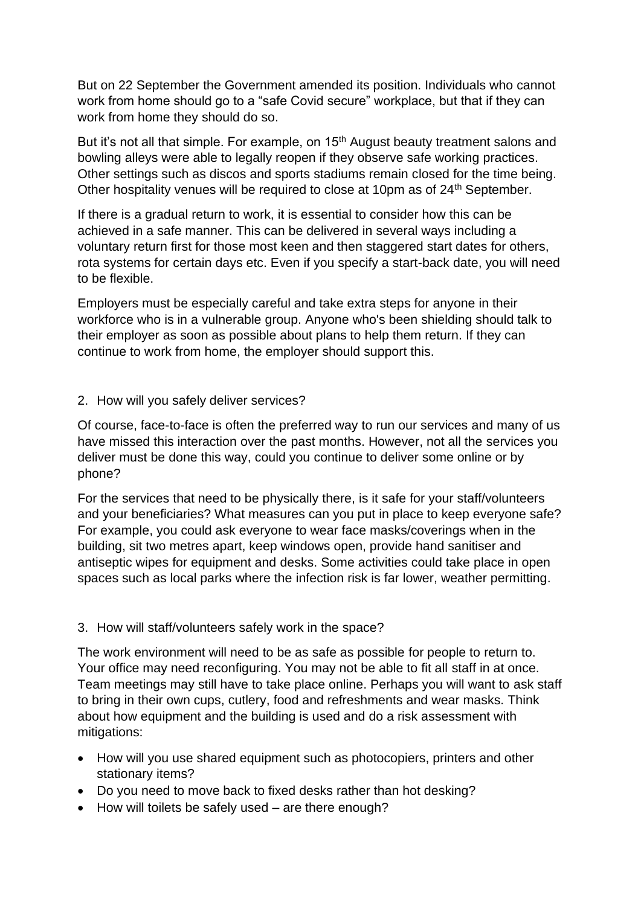But on 22 September the Government amended its position. Individuals who cannot work from home should go to a "safe Covid secure" workplace, but that if they can work from home they should do so.

But it's not all that simple. For example, on 15<sup>th</sup> August beauty treatment salons and bowling alleys were able to legally reopen if they observe safe working practices. Other settings such as discos and sports stadiums remain closed for the time being. Other hospitality venues will be required to close at 10pm as of 24<sup>th</sup> September.

If there is a gradual return to work, it is essential to consider how this can be achieved in a safe manner. This can be delivered in several ways including a voluntary return first for those most keen and then staggered start dates for others, rota systems for certain days etc. Even if you specify a start-back date, you will need to be flexible.

Employers must be especially careful and take extra steps for anyone in their workforce who is in a vulnerable group. Anyone who's been shielding should talk to their employer as soon as possible about plans to help them return. If they can continue to work from home, the employer should support this.

#### 2. How will you safely deliver services?

Of course, face-to-face is often the preferred way to run our services and many of us have missed this interaction over the past months. However, not all the services you deliver must be done this way, could you continue to deliver some online or by phone?

For the services that need to be physically there, is it safe for your staff/volunteers and your beneficiaries? What measures can you put in place to keep everyone safe? For example, you could ask everyone to wear face masks/coverings when in the building, sit two metres apart, keep windows open, provide hand sanitiser and antiseptic wipes for equipment and desks. Some activities could take place in open spaces such as local parks where the infection risk is far lower, weather permitting.

### 3. How will staff/volunteers safely work in the space?

The work environment will need to be as safe as possible for people to return to. Your office may need reconfiguring. You may not be able to fit all staff in at once. Team meetings may still have to take place online. Perhaps you will want to ask staff to bring in their own cups, cutlery, food and refreshments and wear masks. Think about how equipment and the building is used and do a risk assessment with mitigations:

- How will you use shared equipment such as photocopiers, printers and other stationary items?
- Do you need to move back to fixed desks rather than hot desking?
- How will toilets be safely used are there enough?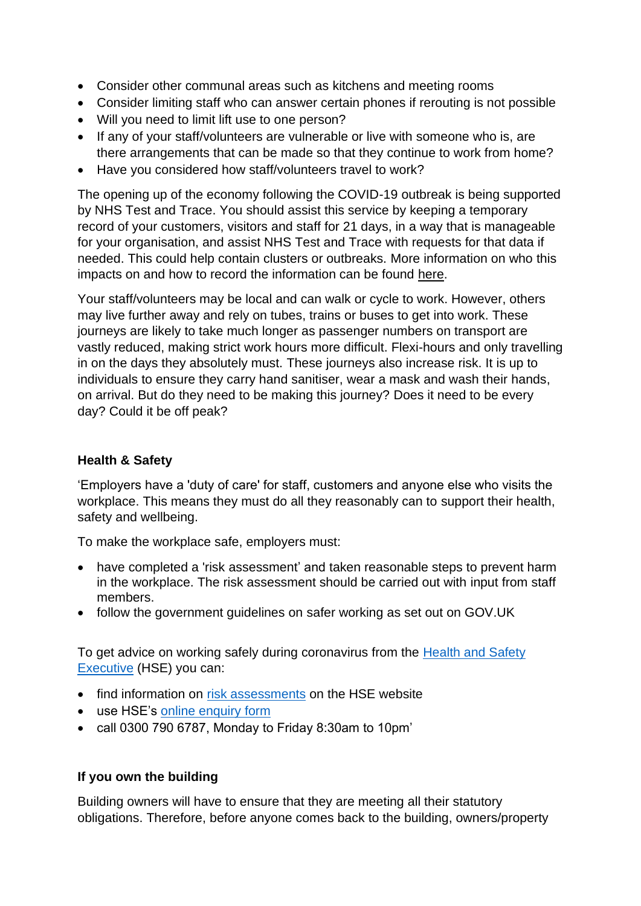- Consider other communal areas such as kitchens and meeting rooms
- Consider limiting staff who can answer certain phones if rerouting is not possible
- Will you need to limit lift use to one person?
- If any of your staff/volunteers are vulnerable or live with someone who is, are there arrangements that can be made so that they continue to work from home?
- Have you considered how staff/volunteers travel to work?

The opening up of the economy following the COVID-19 outbreak is being supported by NHS Test and Trace. You should assist this service by keeping a temporary record of your customers, visitors and staff for 21 days, in a way that is manageable for your organisation, and assist NHS Test and Trace with requests for that data if needed. This could help contain clusters or outbreaks. More information on who this impacts on and how to record the information can be found [here.](https://www.gov.uk/guidance/maintaining-records-of-staff-customers-and-visitors-to-support-nhs-test-and-trace#sectors-that-this-guidance-applies-to)

Your staff/volunteers may be local and can walk or cycle to work. However, others may live further away and rely on tubes, trains or buses to get into work. These journeys are likely to take much longer as passenger numbers on transport are vastly reduced, making strict work hours more difficult. Flexi-hours and only travelling in on the days they absolutely must. These journeys also increase risk. It is up to individuals to ensure they carry hand sanitiser, wear a mask and wash their hands, on arrival. But do they need to be making this journey? Does it need to be every day? Could it be off peak?

### **Health & Safety**

'Employers have a 'duty of care' for staff, customers and anyone else who visits the workplace. This means they must do all they reasonably can to support their health, safety and wellbeing.

To make the workplace safe, employers must:

- have completed a 'risk assessment' and taken reasonable steps to prevent harm in the workplace. The risk assessment should be carried out with input from staff members.
- follow the government guidelines on [safer working](https://www.gov.uk/guidance/working-safely-during-coronavirus-covid-19) as set out on GOV.UK

To get advice on working safely during coronavirus from the [Health and Safety](https://www.hse.gov.uk/coronavirus/index.htm)  [Executive](https://www.hse.gov.uk/coronavirus/index.htm) (HSE) you can:

- find information on [risk assessments](https://www.hse.gov.uk/coronavirus/working-safely/risk-assessment.htm) on the HSE website
- use HSE's [online enquiry form](https://hsegov.microsoftcrmportals.com/workingsafelyenquiries/)
- call 0300 790 6787, Monday to Friday 8:30am to 10pm'

### **If you own the building**

Building owners will have to ensure that they are meeting all their statutory obligations. Therefore, before anyone comes back to the building, owners/property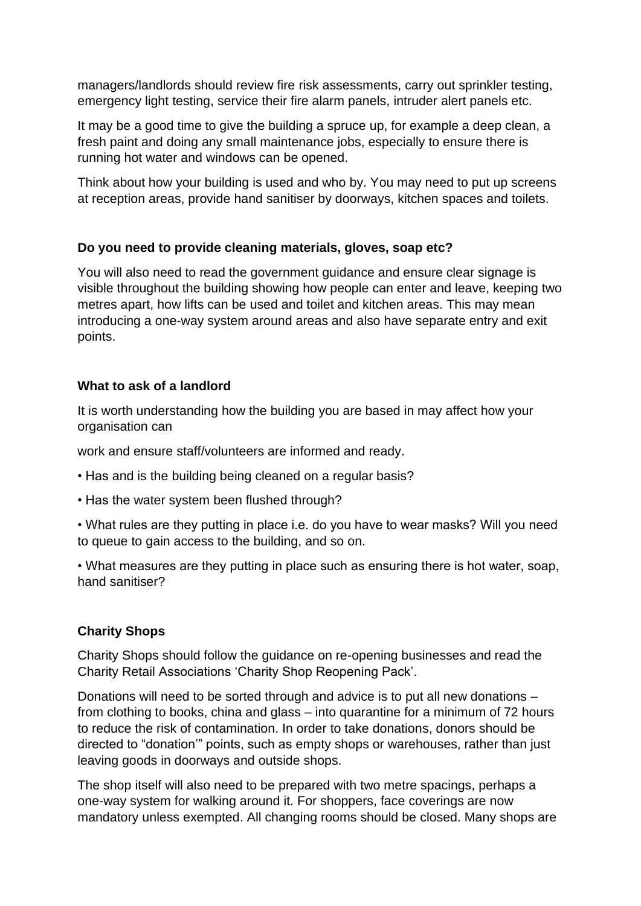managers/landlords should review fire risk assessments, carry out sprinkler testing, emergency light testing, service their fire alarm panels, intruder alert panels etc.

It may be a good time to give the building a spruce up, for example a deep clean, a fresh paint and doing any small maintenance jobs, especially to ensure there is running hot water and windows can be opened.

Think about how your building is used and who by. You may need to put up screens at reception areas, provide hand sanitiser by doorways, kitchen spaces and toilets.

### **Do you need to provide cleaning materials, gloves, soap etc?**

You will also need to read the government guidance and ensure clear signage is visible throughout the building showing how people can enter and leave, keeping two metres apart, how lifts can be used and toilet and kitchen areas. This may mean introducing a one-way system around areas and also have separate entry and exit points.

#### **What to ask of a landlord**

It is worth understanding how the building you are based in may affect how your organisation can

work and ensure staff/volunteers are informed and ready.

- Has and is the building being cleaned on a regular basis?
- Has the water system been flushed through?
- What rules are they putting in place i.e. do you have to wear masks? Will you need to queue to gain access to the building, and so on.

• What measures are they putting in place such as ensuring there is hot water, soap, hand sanitiser?

### **Charity Shops**

Charity Shops should follow the guidance on re-opening businesses and read the Charity Retail Associations 'Charity Shop Reopening Pack'.

Donations will need to be sorted through and advice is to put all new donations – from clothing to books, china and glass – into quarantine for a minimum of 72 hours to reduce the risk of contamination. In order to take donations, donors should be directed to "donation'" points, such as empty shops or warehouses, rather than just leaving goods in doorways and outside shops.

The shop itself will also need to be prepared with two metre spacings, perhaps a one-way system for walking around it. For shoppers, face coverings are now mandatory unless exempted. All changing rooms should be closed. Many shops are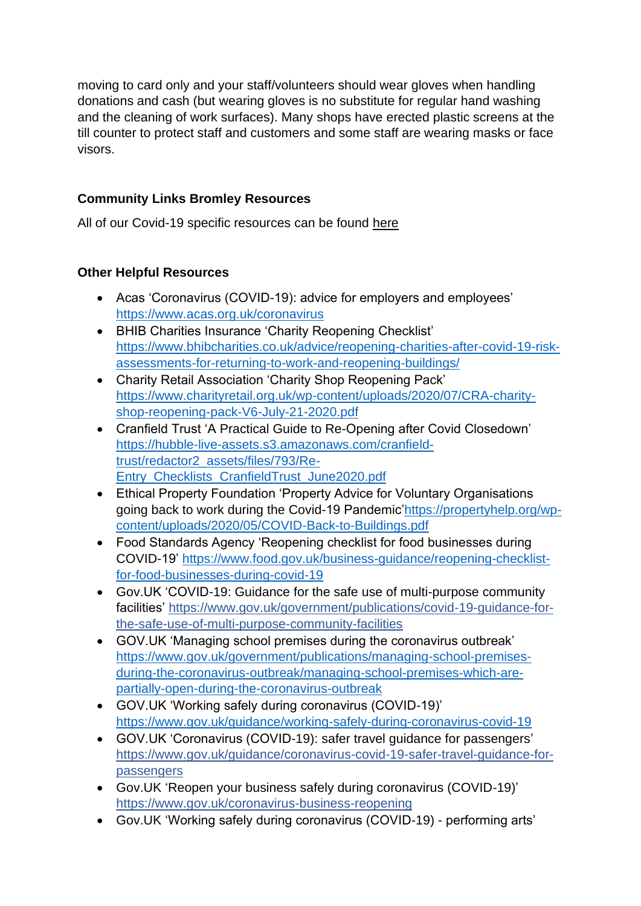moving to card only and your staff/volunteers should wear gloves when handling donations and cash (but wearing gloves is no substitute for regular hand washing and the cleaning of work surfaces). Many shops have erected plastic screens at the till counter to protect staff and customers and some staff are wearing masks or face visors.

## **Community Links Bromley Resources**

All of our Covid-19 specific resources can be found [here](https://www.communitylinksbromley.org.uk/coronavirus-information/)

## **Other Helpful Resources**

- Acas 'Coronavirus (COVID-19): advice for employers and employees' <https://www.acas.org.uk/coronavirus>
- BHIB Charities Insurance 'Charity Reopening Checklist' [https://www.bhibcharities.co.uk/advice/reopening-charities-after-covid-19-risk](https://www.bhibcharities.co.uk/advice/reopening-charities-after-covid-19-risk-assessments-for-returning-to-work-and-reopening-buildings/)[assessments-for-returning-to-work-and-reopening-buildings/](https://www.bhibcharities.co.uk/advice/reopening-charities-after-covid-19-risk-assessments-for-returning-to-work-and-reopening-buildings/)
- Charity Retail Association 'Charity Shop Reopening Pack' [https://www.charityretail.org.uk/wp-content/uploads/2020/07/CRA-charity](https://www.charityretail.org.uk/wp-content/uploads/2020/07/CRA-charity-shop-reopening-pack-V6-July-21-2020.pdf)[shop-reopening-pack-V6-July-21-2020.pdf](https://www.charityretail.org.uk/wp-content/uploads/2020/07/CRA-charity-shop-reopening-pack-V6-July-21-2020.pdf)
- Cranfield Trust 'A Practical Guide to Re-Opening after Covid Closedown' [https://hubble-live-assets.s3.amazonaws.com/cranfield](https://hubble-live-assets.s3.amazonaws.com/cranfield-trust/redactor2_assets/files/793/Re-Entry_Checklists_CranfieldTrust_June2020.pdf)[trust/redactor2\\_assets/files/793/Re-](https://hubble-live-assets.s3.amazonaws.com/cranfield-trust/redactor2_assets/files/793/Re-Entry_Checklists_CranfieldTrust_June2020.pdf)[Entry\\_Checklists\\_CranfieldTrust\\_June2020.pdf](https://hubble-live-assets.s3.amazonaws.com/cranfield-trust/redactor2_assets/files/793/Re-Entry_Checklists_CranfieldTrust_June2020.pdf)
- Ethical Property Foundation 'Property Advice for Voluntary Organisations going back to work during the Covid-19 Pandemic['https://propertyhelp.org/wp](https://propertyhelp.org/wp-content/uploads/2020/05/COVID-Back-to-Buildings.pdf)[content/uploads/2020/05/COVID-Back-to-Buildings.pdf](https://propertyhelp.org/wp-content/uploads/2020/05/COVID-Back-to-Buildings.pdf)
- Food Standards Agency 'Reopening checklist for food businesses during COVID-19' [https://www.food.gov.uk/business-guidance/reopening-checklist](https://www.food.gov.uk/business-guidance/reopening-checklist-for-food-businesses-during-covid-19)[for-food-businesses-during-covid-19](https://www.food.gov.uk/business-guidance/reopening-checklist-for-food-businesses-during-covid-19)
- Gov.UK 'COVID-19: Guidance for the safe use of multi-purpose community facilities' [https://www.gov.uk/government/publications/covid-19-guidance-for](https://www.gov.uk/government/publications/covid-19-guidance-for-the-safe-use-of-multi-purpose-community-facilities)[the-safe-use-of-multi-purpose-community-facilities](https://www.gov.uk/government/publications/covid-19-guidance-for-the-safe-use-of-multi-purpose-community-facilities)
- GOV.UK 'Managing school premises during the coronavirus outbreak' [https://www.gov.uk/government/publications/managing-school-premises](https://www.gov.uk/government/publications/managing-school-premises-during-the-coronavirus-outbreak/managing-school-premises-which-are-partially-open-during-the-coronavirus-outbreak)[during-the-coronavirus-outbreak/managing-school-premises-which-are](https://www.gov.uk/government/publications/managing-school-premises-during-the-coronavirus-outbreak/managing-school-premises-which-are-partially-open-during-the-coronavirus-outbreak)[partially-open-during-the-coronavirus-outbreak](https://www.gov.uk/government/publications/managing-school-premises-during-the-coronavirus-outbreak/managing-school-premises-which-are-partially-open-during-the-coronavirus-outbreak)
- GOV.UK 'Working safely during coronavirus (COVID-19)' <https://www.gov.uk/guidance/working-safely-during-coronavirus-covid-19>
- GOV.UK 'Coronavirus (COVID-19): safer travel guidance for passengers' [https://www.gov.uk/guidance/coronavirus-covid-19-safer-travel-guidance-for](https://www.gov.uk/guidance/coronavirus-covid-19-safer-travel-guidance-for-passengers)[passengers](https://www.gov.uk/guidance/coronavirus-covid-19-safer-travel-guidance-for-passengers)
- Gov.UK 'Reopen your business safely during coronavirus (COVID-19)' <https://www.gov.uk/coronavirus-business-reopening>
- Gov.UK 'Working safely during coronavirus (COVID-19) performing arts'